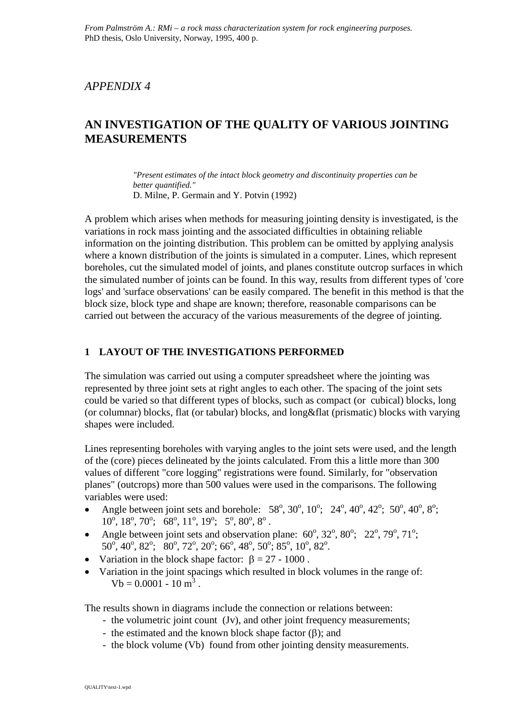## *APPENDIX 4*

# **AN INVESTIGATION OF THE QUALITY OF VARIOUS JOINTING MEASUREMENTS**

*"Present estimates of the intact block geometry and discontinuity properties can be better quantified."* D. Milne, P. Germain and Y. Potvin (1992)

A problem which arises when methods for measuring jointing density is investigated, is the variations in rock mass jointing and the associated difficulties in obtaining reliable information on the jointing distribution. This problem can be omitted by applying analysis where a known distribution of the joints is simulated in a computer. Lines, which represent boreholes, cut the simulated model of joints, and planes constitute outcrop surfaces in which the simulated number of joints can be found. In this way, results from different types of 'core logs' and 'surface observations' can be easily compared. The benefit in this method is that the block size, block type and shape are known; therefore, reasonable comparisons can be carried out between the accuracy of the various measurements of the degree of jointing.

#### **1 LAYOUT OF THE INVESTIGATIONS PERFORMED**

The simulation was carried out using a computer spreadsheet where the jointing was represented by three joint sets at right angles to each other. The spacing of the joint sets could be varied so that different types of blocks, such as compact (or cubical) blocks, long (or columnar) blocks, flat (or tabular) blocks, and long&flat (prismatic) blocks with varying shapes were included.

Lines representing boreholes with varying angles to the joint sets were used, and the length of the (core) pieces delineated by the joints calculated. From this a little more than 300 values of different "core logging" registrations were found. Similarly, for "observation planes" (outcrops) more than 500 values were used in the comparisons. The following variables were used:

- Angle between joint sets and borehole:  $58^{\circ}$ ,  $30^{\circ}$ ,  $10^{\circ}$ ;  $24^{\circ}$ ,  $40^{\circ}$ ,  $42^{\circ}$ ;  $50^{\circ}$ ,  $40^{\circ}$ ,  $8^{\circ}$ ;  $10^{\circ}, 18^{\circ}, 70^{\circ}; 68^{\circ}, 11^{\circ}, 19^{\circ}; 5^{\circ}, 80^{\circ}, 8^{\circ}.$
- Angle between joint sets and observation plane:  $60^\circ$ ,  $32^\circ$ ,  $80^\circ$ ;  $22^\circ$ ,  $79^\circ$ ,  $71^\circ$ ;  $50^{\circ}, 40^{\circ}, 82^{\circ}; 80^{\circ}, 72^{\circ}, 20^{\circ}; 66^{\circ}, 48^{\circ}, 50^{\circ}; 85^{\circ}, 10^{\circ}, 82^{\circ}.$
- Variation in the block shape factor:  $\beta = 27 1000$ .
- Variation in the joint spacings which resulted in block volumes in the range of:  $Vb = 0.0001 - 10$  m<sup>3</sup>.

The results shown in diagrams include the connection or relations between:

- the volumetric joint count (Jv), and other joint frequency measurements;
- the estimated and the known block shape factor  $(\beta)$ ; and
- the block volume (Vb) found from other jointing density measurements.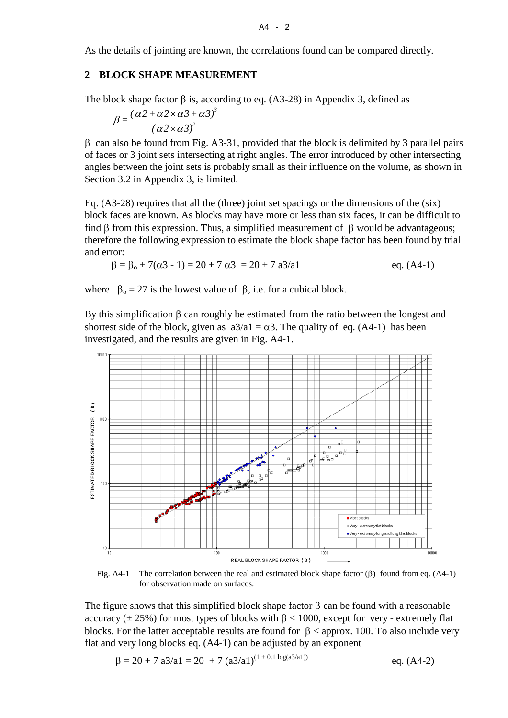$\overline{A}$  - 2

As the details of jointing are known, the correlations found can be compared directly.

#### **2 BLOCK SHAPE MEASUREMENT**

The block shape factor  $\beta$  is, according to eq. (A3-28) in Appendix 3, defined as

$$
\beta = \frac{(\alpha 2 + \alpha 2 \times \alpha 3 + \alpha 3)^3}{(\alpha 2 \times \alpha 3)^2}
$$

β can also be found from Fig. A3-31, provided that the block is delimited by 3 parallel pairs of faces or 3 joint sets intersecting at right angles. The error introduced by other intersecting angles between the joint sets is probably small as their influence on the volume, as shown in Section 3.2 in Appendix 3, is limited.

Eq. (A3-28) requires that all the (three) joint set spacings or the dimensions of the (six) block faces are known. As blocks may have more or less than six faces, it can be difficult to find  $\beta$  from this expression. Thus, a simplified measurement of  $\beta$  would be advantageous; therefore the following expression to estimate the block shape factor has been found by trial and error:

$$
\beta = \beta_0 + 7(\alpha 3 - 1) = 20 + 7 \alpha 3 = 20 + 7 \alpha 3/\alpha 1
$$
 eq. (A4-1)

where  $\beta_0 = 27$  is the lowest value of  $\beta$ , i.e. for a cubical block.

By this simplification β can roughly be estimated from the ratio between the longest and shortest side of the block, given as  $a3/a1 = \alpha 3$ . The quality of eq. (A4-1) has been investigated, and the results are given in Fig. A4-1.



Fig. A4-1 The correlation between the real and estimated block shape factor  $(\beta)$  found from eq. (A4-1) for observation made on surfaces.

The figure shows that this simplified block shape factor  $\beta$  can be found with a reasonable accuracy ( $\pm$  25%) for most types of blocks with  $\beta$  < 1000, except for very - extremely flat blocks. For the latter acceptable results are found for  $\beta$  < approx. 100. To also include very flat and very long blocks eq. (A4-1) can be adjusted by an exponent

$$
\beta = 20 + 7 \ a3/a1 = 20 + 7 \ (a3/a1)^{(1 + 0.1 \log(a3/a1))}
$$
eq. (A4-2)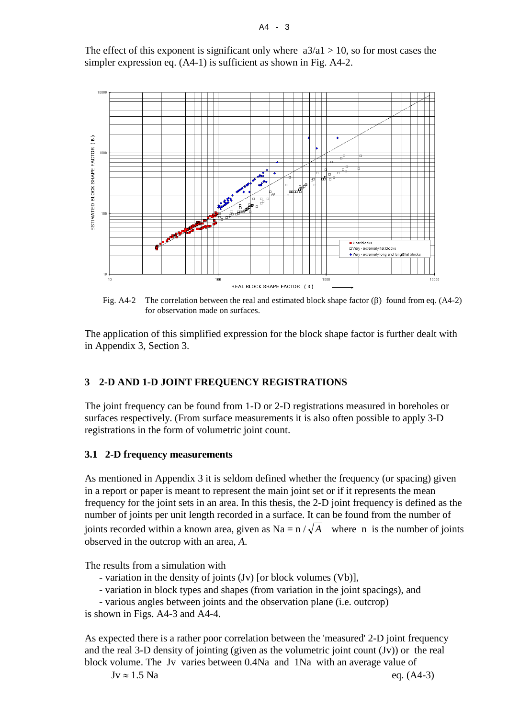The effect of this exponent is significant only where  $a3/a1 > 10$ , so for most cases the simpler expression eq. (A4-1) is sufficient as shown in Fig. A4-2.



Fig. A4-2 The correlation between the real and estimated block shape factor  $(\beta)$  found from eq. (A4-2) for observation made on surfaces.

The application of this simplified expression for the block shape factor is further dealt with in Appendix 3, Section 3.

### **3 2-D AND 1-D JOINT FREQUENCY REGISTRATIONS**

The joint frequency can be found from 1-D or 2-D registrations measured in boreholes or surfaces respectively. (From surface measurements it is also often possible to apply 3-D registrations in the form of volumetric joint count.

#### **3.1 2-D frequency measurements**

As mentioned in Appendix 3 it is seldom defined whether the frequency (or spacing) given in a report or paper is meant to represent the main joint set or if it represents the mean frequency for the joint sets in an area. In this thesis, the 2-D joint frequency is defined as the number of joints per unit length recorded in a surface. It can be found from the number of joints recorded within a known area, given as Na =  $n / \sqrt{A}$  where n is the number of joints observed in the outcrop with an area, *A*.

The results from a simulation with

- variation in the density of joints (Jv) [or block volumes (Vb)],
- variation in block types and shapes (from variation in the joint spacings), and

- various angles between joints and the observation plane (i.e. outcrop)

is shown in Figs. A4-3 and A4-4.

As expected there is a rather poor correlation between the 'measured' 2-D joint frequency and the real 3-D density of jointing (given as the volumetric joint count (Jv)) or the real block volume. The Jv varies between 0.4Na and 1Na with an average value of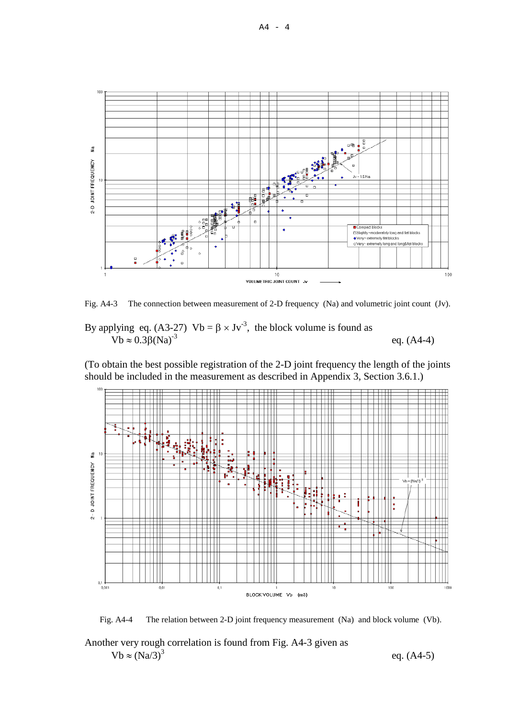

Fig. A4-3 The connection between measurement of 2-D frequency (Na) and volumetric joint count (Jv).

By applying eq. (A3-27)  $Vb = \beta \times Jv^{-3}$ , the block volume is found as Vb  $\approx$  0.3β(Na)<sup>-3</sup> eq. (A4-4)

(To obtain the best possible registration of the 2-D joint frequency the length of the joints should be included in the measurement as described in Appendix 3, Section 3.6.1.)



Fig. A4-4 The relation between 2-D joint frequency measurement (Na) and block volume (Vb).

Another very rough correlation is found from Fig. A4-3 given as

 $Vb \approx (Na/3)^3$  eq. (A4-5)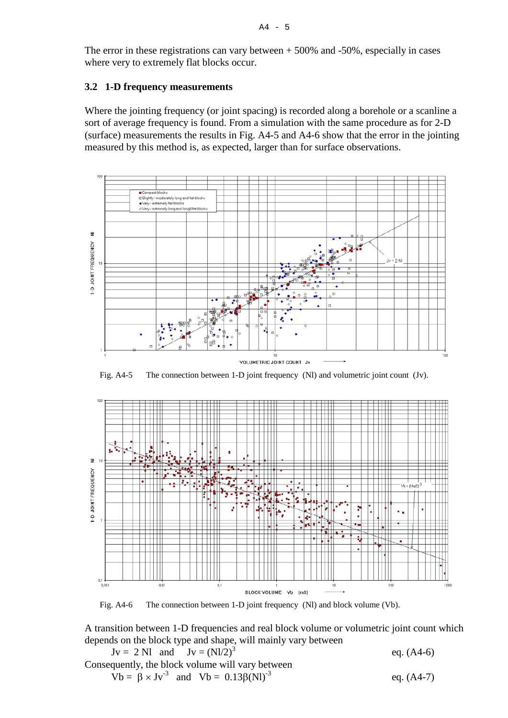The error in these registrations can vary between  $+ 500\%$  and  $-50\%$ , especially in cases where very to extremely flat blocks occur.

#### **3.2 1-D frequency measurements**

Where the jointing frequency (or joint spacing) is recorded along a borehole or a scanline a sort of average frequency is found. From a simulation with the same procedure as for 2-D (surface) measurements the results in Fig. A4-5 and A4-6 show that the error in the jointing measured by this method is, as expected, larger than for surface observations.



Fig. A4-5 The connection between 1-D joint frequency (Nl) and volumetric joint count (Jv).



Fig. A4-6 The connection between 1-D joint frequency (Nl) and block volume (Vb).

A transition between 1-D frequencies and real block volume or volumetric joint count which depends on the block type and shape, will mainly vary between

 $Jv = 2 Nl$  and  $Jv = (Nl/2)^3$  eq. (A4-6) Consequently, the block volume will vary between Vb =  $\beta \times Jv^{-3}$  and Vb = 0.13 $\beta$ (NI)<sup>-3</sup> eq. (A4-7)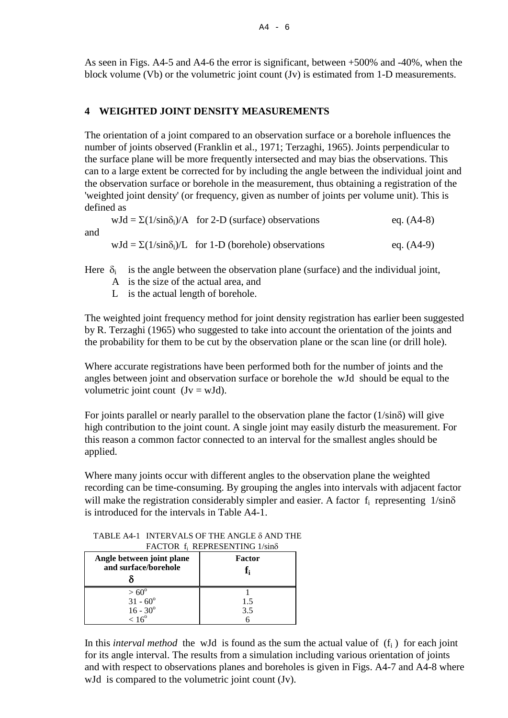As seen in Figs. A4-5 and A4-6 the error is significant, between +500% and -40%, when the block volume (Vb) or the volumetric joint count (Jv) is estimated from 1-D measurements.

#### **4 WEIGHTED JOINT DENSITY MEASUREMENTS**

The orientation of a joint compared to an observation surface or a borehole influences the number of joints observed (Franklin et al., 1971; Terzaghi, 1965). Joints perpendicular to the surface plane will be more frequently intersected and may bias the observations. This can to a large extent be corrected for by including the angle between the individual joint and the observation surface or borehole in the measurement, thus obtaining a registration of the 'weighted joint density' (or frequency, given as number of joints per volume unit). This is defined as

wJd =  $\Sigma(1/\sin\delta_i)/A$  for 2-D (surface) observations eq. (A4-8) and wJd =  $\Sigma(1/\sin\delta_i)/L$  for 1-D (borehole) observations eq. (A4-9)

Here  $\delta_i$  is the angle between the observation plane (surface) and the individual joint,

- A is the size of the actual area, and
- L is the actual length of borehole.

The weighted joint frequency method for joint density registration has earlier been suggested by R. Terzaghi (1965) who suggested to take into account the orientation of the joints and the probability for them to be cut by the observation plane or the scan line (or drill hole).

Where accurate registrations have been performed both for the number of joints and the angles between joint and observation surface or borehole the wJd should be equal to the volumetric joint count  $(Jv = wJd)$ .

For joints parallel or nearly parallel to the observation plane the factor  $(1/\sin\delta)$  will give high contribution to the joint count. A single joint may easily disturb the measurement. For this reason a common factor connected to an interval for the smallest angles should be applied.

Where many joints occur with different angles to the observation plane the weighted recording can be time-consuming. By grouping the angles into intervals with adjacent factor will make the registration considerably simpler and easier. A factor  $f_i$  representing  $1/\text{sin}\delta$ is introduced for the intervals in Table A4-1.

**Angle between joint plane and surface/borehole** δ **Factor fi**  $> 60^{\circ}$  $31 - 60^{\circ}$  $16 - 30^{\circ}$  $< 16^{\circ}$ 1 1.5 3.5 6

 TABLE A4-1 INTERVALS OF THE ANGLE δ AND THE FACTOR fi REPRESENTING 1/sinδ

In this *interval method* the wJd is found as the sum the actual value of  $(f_i)$  for each joint for its angle interval. The results from a simulation including various orientation of joints and with respect to observations planes and boreholes is given in Figs. A4-7 and A4-8 where wJd is compared to the volumetric joint count (Jv).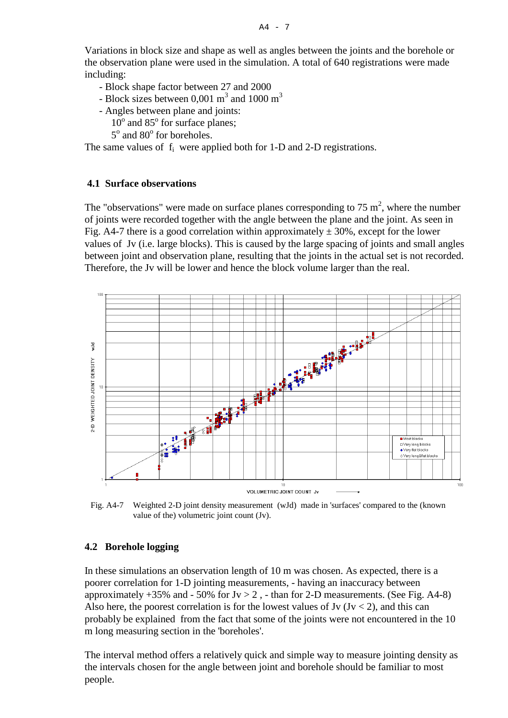Variations in block size and shape as well as angles between the joints and the borehole or the observation plane were used in the simulation. A total of 640 registrations were made including:

- Block shape factor between 27 and 2000
- Block sizes between 0,001  $\text{m}^3$  and 1000  $\text{m}^3$
- Angles between plane and joints:
	- $10^{\circ}$  and  $85^{\circ}$  for surface planes;
	- $5^\circ$  and  $80^\circ$  for boreholes.

The same values of  $f_i$  were applied both for 1-D and 2-D registrations.

#### **4.1 Surface observations**

The "observations" were made on surface planes corresponding to  $75 \text{ m}^2$ , where the number of joints were recorded together with the angle between the plane and the joint. As seen in Fig. A4-7 there is a good correlation within approximately  $\pm$  30%, except for the lower values of Jv (i.e. large blocks). This is caused by the large spacing of joints and small angles between joint and observation plane, resulting that the joints in the actual set is not recorded. Therefore, the Jv will be lower and hence the block volume larger than the real.



Fig. A4-7 Weighted 2-D joint density measurement (wJd) made in 'surfaces' compared to the (known value of the) volumetric joint count (Jv).

#### **4.2 Borehole logging**

In these simulations an observation length of 10 m was chosen. As expected, there is a poorer correlation for 1-D jointing measurements, - having an inaccuracy between approximately  $+35\%$  and  $-50\%$  for Jv  $> 2$ ,  $-$  than for 2-D measurements. (See Fig. A4-8) Also here, the poorest correlation is for the lowest values of Jv  $(Jv < 2)$ , and this can probably be explained from the fact that some of the joints were not encountered in the 10 m long measuring section in the 'boreholes'.

The interval method offers a relatively quick and simple way to measure jointing density as the intervals chosen for the angle between joint and borehole should be familiar to most people.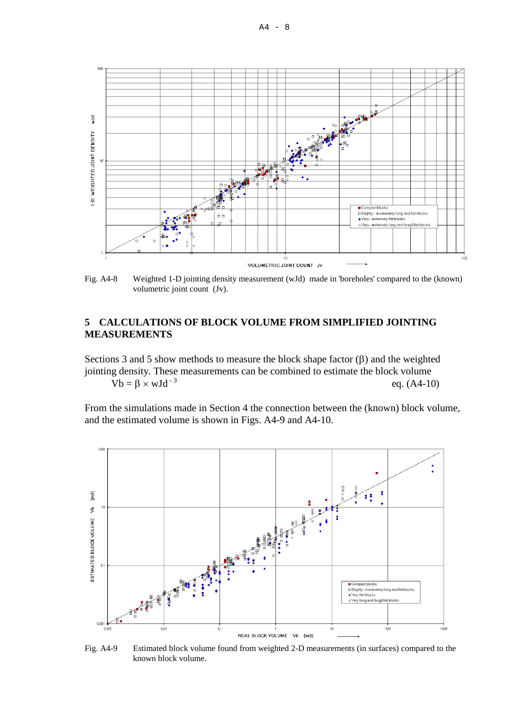

Fig. A4-8 Weighted 1-D jointing density measurement (wJd) made in 'boreholes' compared to the (known) volumetric joint count (Jv).

#### **5 CALCULATIONS OF BLOCK VOLUME FROM SIMPLIFIED JOINTING MEASUREMENTS**

Sections 3 and 5 show methods to measure the block shape factor  $(\beta)$  and the weighted jointing density. These measurements can be combined to estimate the block volume  $Vb = \beta \times wJd^{-3}$  eq. (A4-10)

From the simulations made in Section 4 the connection between the (known) block volume, and the estimated volume is shown in Figs. A4-9 and A4-10.



Fig. A4-9 Estimated block volume found from weighted 2-D measurements (in surfaces) compared to the known block volume.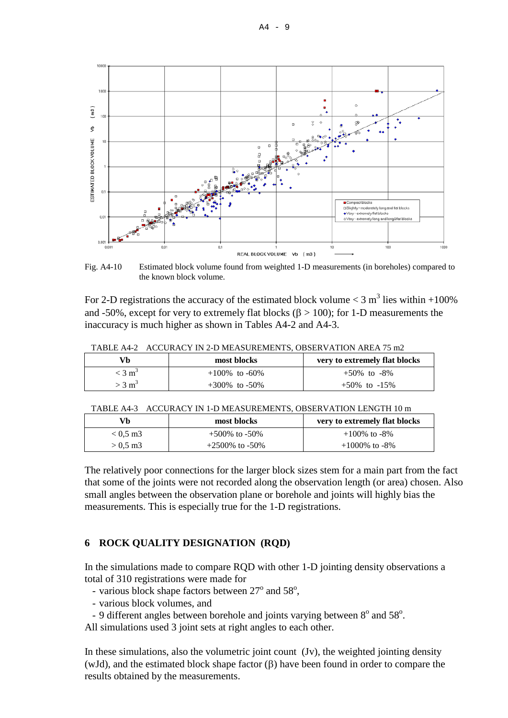

Fig. A4-10 Estimated block volume found from weighted 1-D measurements (in boreholes) compared to the known block volume.

For 2-D registrations the accuracy of the estimated block volume  $<$  3 m<sup>3</sup> lies within +100% and -50%, except for very to extremely flat blocks ( $\beta$  > 100); for 1-D measurements the inaccuracy is much higher as shown in Tables A4-2 and A4-3.

| Vh                   | most blocks         | very to extremely flat blocks |  |  |
|----------------------|---------------------|-------------------------------|--|--|
| $<$ 3 m <sup>3</sup> | $+100\%$ to -60%    | $+50\%$ to $-8\%$             |  |  |
| $>$ 3 m <sup>3</sup> | $+300\%$ to $-50\%$ | $+50\%$ to $-15\%$            |  |  |

TABLE A4-2 ACCURACY IN 2-D MEASUREMENTS, OBSERVATION AREA 75 m2

|  |  | TABLE A4-3 ACCURACY IN 1-D MEASUREMENTS, OBSERVATION LENGTH 10 m |  |  |
|--|--|------------------------------------------------------------------|--|--|
|--|--|------------------------------------------------------------------|--|--|

| Vb         | most blocks         | very to extremely flat blocks |
|------------|---------------------|-------------------------------|
| $< 0.5$ m3 | $+500\%$ to $-50\%$ | $+100\%$ to -8%               |
| $> 0.5$ m3 | $+2500\%$ to -50%   | $+1000\%$ to -8%              |

The relatively poor connections for the larger block sizes stem for a main part from the fact that some of the joints were not recorded along the observation length (or area) chosen. Also small angles between the observation plane or borehole and joints will highly bias the measurements. This is especially true for the 1-D registrations.

#### **6 ROCK QUALITY DESIGNATION (RQD)**

In the simulations made to compare RQD with other 1-D jointing density observations a total of 310 registrations were made for

- various block shape factors between  $27^{\circ}$  and  $58^{\circ}$ ,
	- various block volumes, and
- 9 different angles between borehole and joints varying between  $8^{\circ}$  and  $58^{\circ}$ .

All simulations used 3 joint sets at right angles to each other.

In these simulations, also the volumetric joint count (Jv), the weighted jointing density (wJd), and the estimated block shape factor (β) have been found in order to compare the results obtained by the measurements.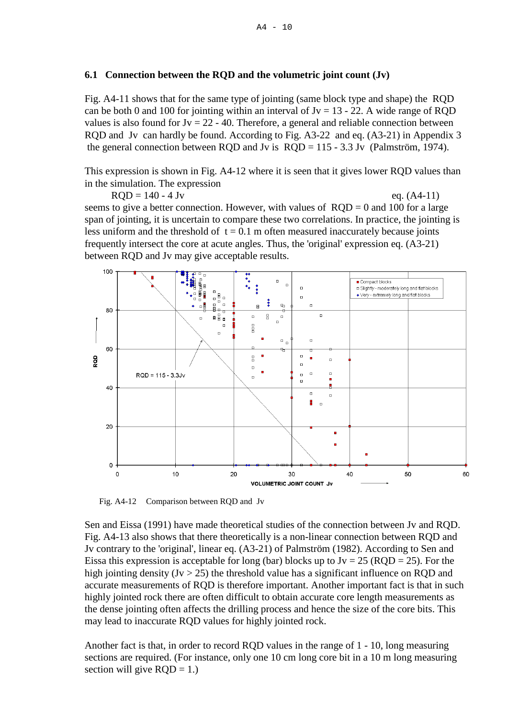#### **6.1 Connection between the RQD and the volumetric joint count (Jv)**

Fig. A4-11 shows that for the same type of jointing (same block type and shape) the RQD can be both 0 and 100 for jointing within an interval of Jv =  $13 - 22$ . A wide range of RQD values is also found for  $Jv = 22 - 40$ . Therefore, a general and reliable connection between RQD and Jv can hardly be found. According to Fig. A3-22 and eq. (A3-21) in Appendix 3 the general connection between RQD and Jv is RQD = 115 - 3.3 Jv (Palmström, 1974).

This expression is shown in Fig. A4-12 where it is seen that it gives lower RQD values than in the simulation. The expression

 $RQD = 140 - 4 \text{ Jv}$  eq. (A4-11) seems to give a better connection. However, with values of  $RQD = 0$  and 100 for a large span of jointing, it is uncertain to compare these two correlations. In practice, the jointing is

less uniform and the threshold of  $t = 0.1$  m often measured inaccurately because joints frequently intersect the core at acute angles. Thus, the 'original' expression eq. (A3-21) between RQD and Jv may give acceptable results.



Fig. A4-12 Comparison between RQD and Jv

Sen and Eissa (1991) have made theoretical studies of the connection between Jv and RQD. Fig. A4-13 also shows that there theoretically is a non-linear connection between RQD and Jv contrary to the 'original', linear eq. (A3-21) of Palmström (1982). According to Sen and Eissa this expression is acceptable for long (bar) blocks up to  $Jv = 25$  (RQD = 25). For the high jointing density ( $Jv > 25$ ) the threshold value has a significant influence on RQD and accurate measurements of RQD is therefore important. Another important fact is that in such highly jointed rock there are often difficult to obtain accurate core length measurements as the dense jointing often affects the drilling process and hence the size of the core bits. This may lead to inaccurate RQD values for highly jointed rock.

Another fact is that, in order to record RQD values in the range of 1 - 10, long measuring sections are required. (For instance, only one 10 cm long core bit in a 10 m long measuring section will give  $RQD = 1$ .)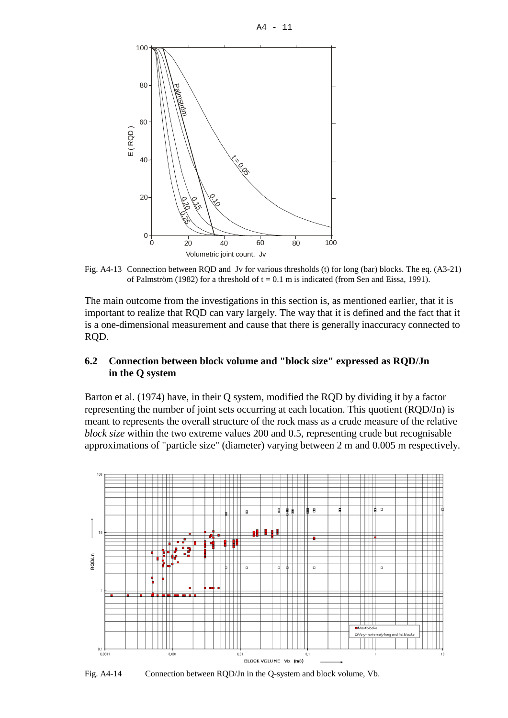$A4 - 11$ 



Fig. A4-13 Connection between RQD and Jv for various thresholds (t) for long (bar) blocks. The eq. (A3-21) of Palmström (1982) for a threshold of  $t = 0.1$  m is indicated (from Sen and Eissa, 1991).

The main outcome from the investigations in this section is, as mentioned earlier, that it is important to realize that RQD can vary largely. The way that it is defined and the fact that it is a one-dimensional measurement and cause that there is generally inaccuracy connected to RQD.

#### **6.2 Connection between block volume and "block size" expressed as RQD/Jn in the Q system**

Barton et al. (1974) have, in their Q system, modified the RQD by dividing it by a factor representing the number of joint sets occurring at each location. This quotient (RQD/Jn) is meant to represents the overall structure of the rock mass as a crude measure of the relative *block size* within the two extreme values 200 and 0.5, representing crude but recognisable approximations of "particle size" (diameter) varying between 2 m and 0.005 m respectively.



Fig. A4-14 Connection between RQD/Jn in the Q-system and block volume, Vb.